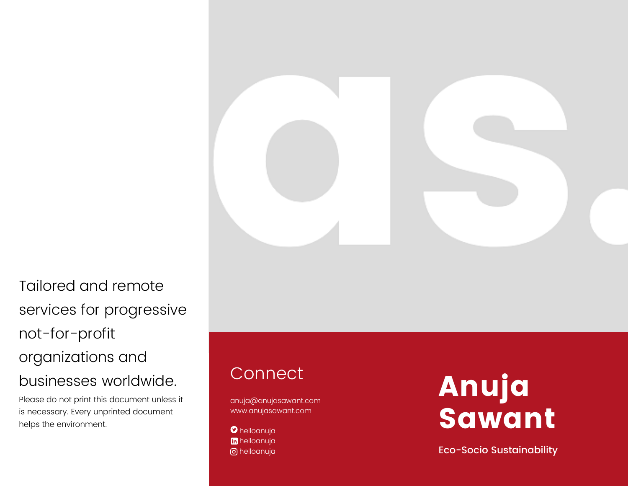

Tailored and remote services for progressive not-for-profit organizations and businesses worldwide.

Please do not print this document unless it is necessary. Every unprinted document DUSINESSES WOTIDWIDE.<br>
Please do not print this document unless it<br>
is necessary. Every unprinted document<br>
helps the environment.

# Connect

anuja@anujasawant.com www.anujasawant.com

helloanuja helloanuja helloanuja

# nuja Sawant

Eco-Socio Sustainability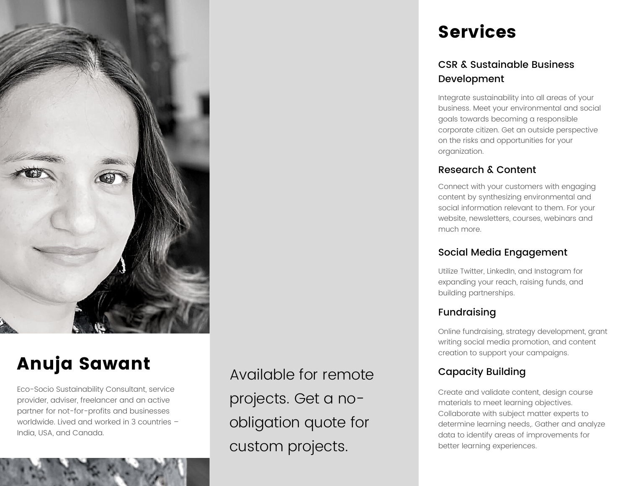

# Anuja Sawant

Eco-Socio Sustainability Consultant, service provider, adviser, freelancer and an active partner for not-for-profits and businesses worldwide. Lived and worked in 3 countries – India, USA, and Canada.

Available for remote projects. Get a noobligation quote for custom projects.

# Services

# CSR & Sustainable Business Development

Integrate sustainability into all areas of your business. Meet your environmental and social goals towards becoming a responsible corporate citizen. Get an outside perspective on the risks and opportunities for your organization.

# Research & Content

Connect with your customers with engaging content by synthesizing environmental and social information relevant to them. For your website, newsletters, courses, webinars and much more.

# Social Media Engagement

Utilize Twitter, LinkedIn, and Instagram for expanding your reach, raising funds, and building partnerships.

# Fundraising

Online fundraising, strategy development, grant writing social media promotion, and content creation to support your campaigns.

# Capacity Building

Create and validate content, design course materials to meet learning objectives. Collaborate with subject matter experts to determine learning needs,. Gather and analyze data to identify areas of improvements for better learning experiences.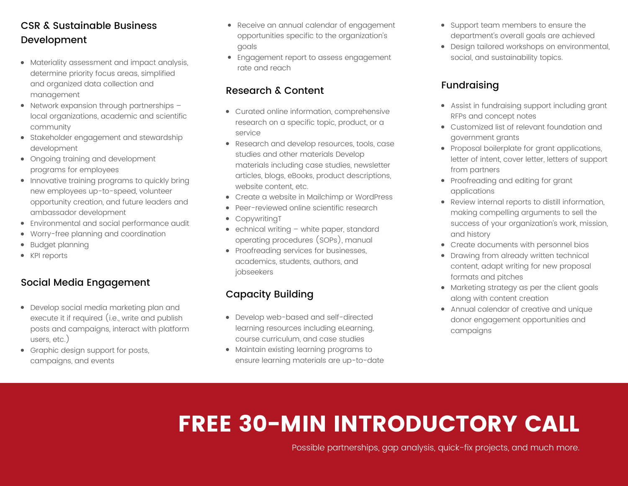# CSR & Sustainable Business Development

- Materiality assessment and impact analysis, determine priority focus areas, simplified and organized data collection and management
- Network expansion through partnerships local organizations, academic and scientific community
- Stakeholder engagement and stewardship development
- Ongoing training and development programs for employees
- Innovative training programs to quickly bring new employees up-to-speed, volunteer opportunity creation, and future leaders and ambassador development
- Environmental and social performance audit
- Worry-free planning and coordination
- Budget planning
- KPI reports

# Social Media Engagement

- Develop social media marketing plan and execute it if required (i.e., write and publish posts and campaigns, interact with platform users, etc.)
- Graphic design support for posts, campaigns, and events
- Receive an annual calendar of engagement opportunities specific to the organization's goals
- Engagement report to assess engagement rate and reach

# Research & Content

- Curated online information, comprehensive research on a specific topic, product, or a service
- Research and develop resources, tools, case studies and other materials Develop materials including case studies, newsletter articles, blogs, eBooks, product descriptions, website content, etc.
- Create a website in Mailchimp or WordPress
- Peer-reviewed online scientific research
- CopywritingT
- echnical writing white paper, standard operating procedures (SOPs), manual
- Proofreading services for businesses, academics, students, authors, and jobseekers

# Capacity Building

- Develop web-based and self-directed learning resources including eLearning, course curriculum, and case studies
- Maintain existing learning programs to ensure learning materials are up-to-date
- Support team members to ensure the department's overall goals are achieved
- Design tailored workshops on environmental, social, and sustainability topics.

# Fundraising

- Assist in fundraising support including grant RFPs and concept notes
- Customized list of relevant foundation and government grants
- Proposal boilerplate for grant applications, letter of intent, cover letter, letters of support from partners
- Proofreading and editing for grant applications
- Review internal reports to distill information, making compelling arguments to sell the success of your organization's work, mission, and history
- Create documents with personnel bios
- Drawing from already written technical content, adapt writing for new proposal formats and pitches
- Marketing strategy as per the client goals along with content creation
- Annual calendar of creative and unique donor engagement opportunities and campaigns

# FREE 30-MIN INTRODUCTORY CALL

Possible partnerships, gap analysis, quick-fix projects, and much more.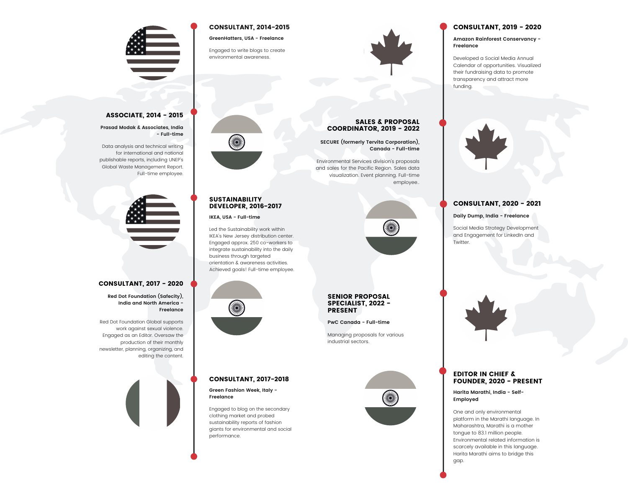### CONSULTANT, 2014-2015

**GreenHatters, USA - Freelance**

Engaged to write blogs to create environmental awareness.



### CONSULTANT, 2019 - 2020

**Amazon Rainforest Conservancy - Freelance**

Developed a Social Media Annual Calendar of opportunities. Visualized their fundraising data to promote transparency and attract more funding.



### CONSULTANT, 2020 - 2021

**Daily Dump, India - Freelance**

Social Media Strategy Development and Engagement for LinkedIn and Twitter.



### EDITOR IN CHIEF & FOUNDER, 2020 - PRESENT

**Harita Marathi, India - Self-Employed**

One and only environmental platform in the Marathi language. In Maharashtra, Marathi is a mother tongue to 83.1 million people. Environmental related information is scarcely available in this language. Harita Marathi aims to bridge this gap.

### SALES & PROPOSAL COORDINATOR, 2019 - 2022

**SECURE (formerly Tervita Corporation), Canada - Full-time**

Environmental Services division's proposals and sales for the Pacific Region. Sales data visualization. Event planning. Full-time employee..

# X

### SENIOR PROPOSAL SPECIALIST, 2022 - PRESENT

**PwC Canada - Full-time**

Managing proposals for various industrial sectors.





### **IKEA, USA - Full-time**

Led the Sustainability work within IKEA's New Jersey distribution center. Engaged approx. 250 co-workers to integrate sustainability into the daily business through targeted orientation & awareness activities. Achieved goals! Full-time employee.



### CONSULTANT, 2017-2018

**Green Fashion Week, Italy - Freelance**

Engaged to blog on the secondary clothing market and probed sustainability reports of fashion giants for environmental and social performance.



### ASSOCIATE, 2014 - 2015

### **Prasad Modak & Associates, India - Full-time**

Data analysis and technical writing for international and national publishable reports, including UNEP's Global Waste Management Report. Full-time employee.



### CONSULTANT, 2017 - 2020

**Red Dot Foundation (Safecity), India and North America - Freelance**

Red Dot Foundation Global supports work against sexual violence. Engaged as an Editor. Oversaw the production of their monthly newsletter, planning, organizing, and editing the content.